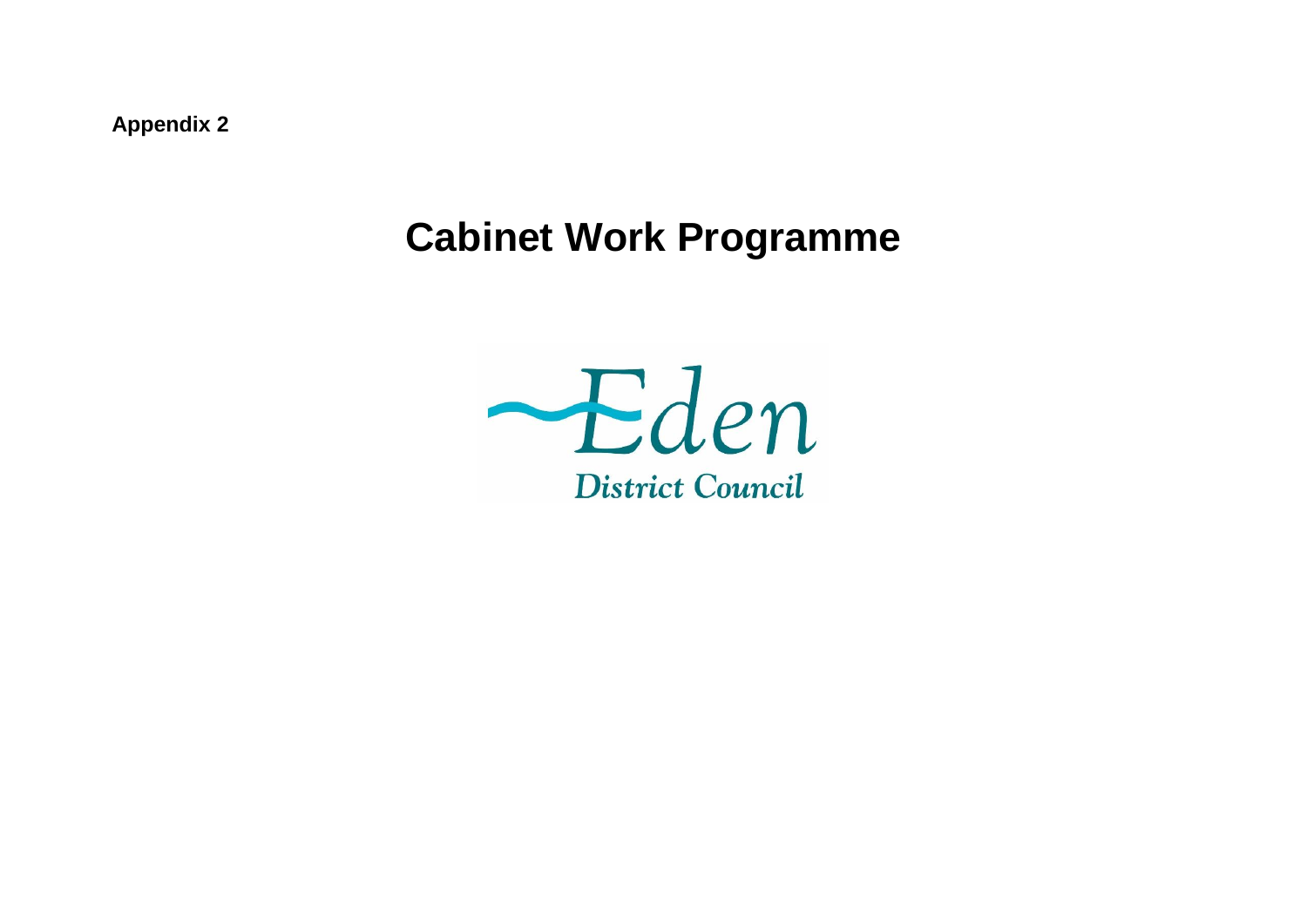**Appendix 2**

## **Cabinet Work Programme**

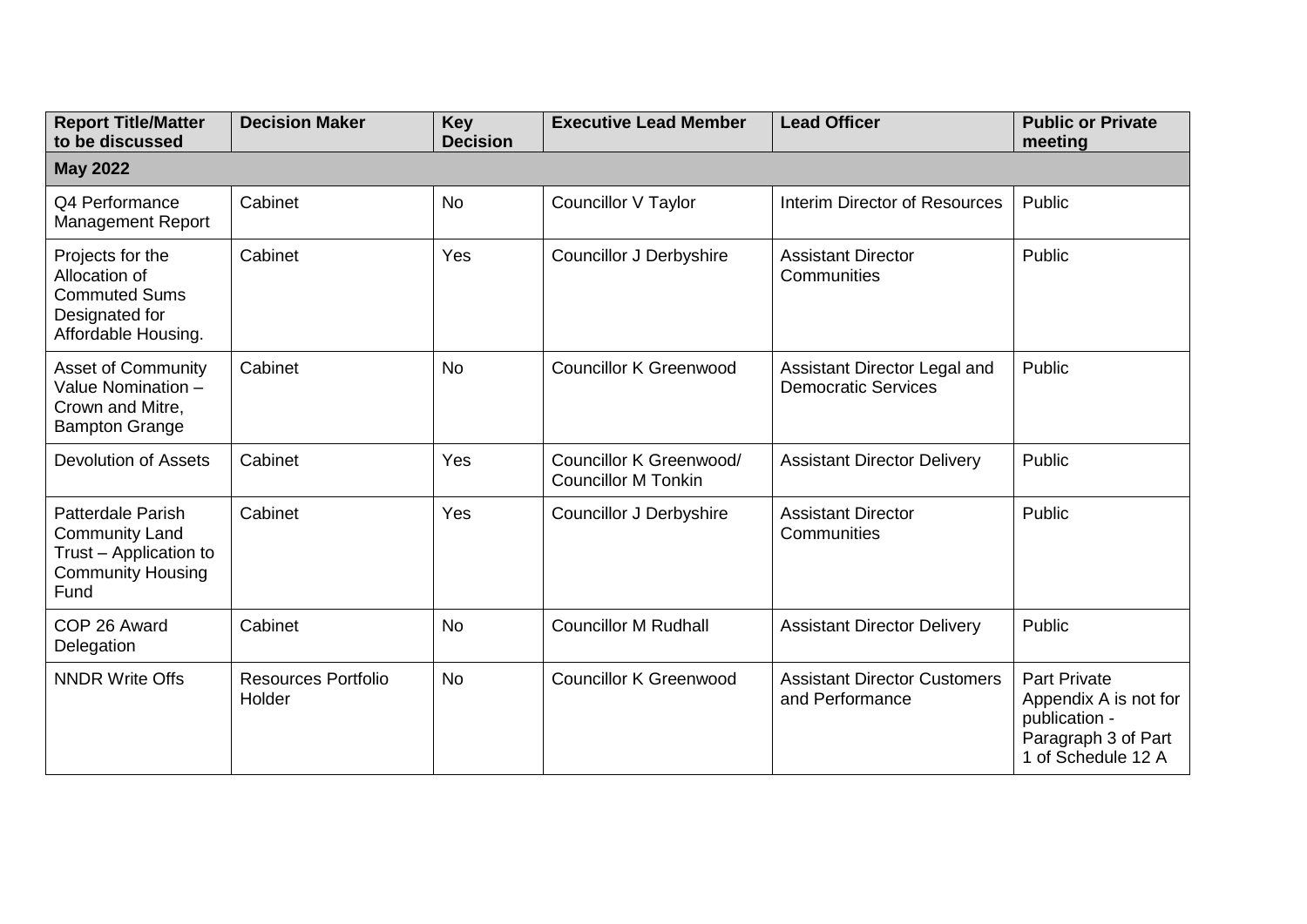| <b>Report Title/Matter</b><br>to be discussed                                                                   | <b>Decision Maker</b>                | <b>Key</b><br><b>Decision</b> | <b>Executive Lead Member</b>                          | <b>Lead Officer</b>                                        | <b>Public or Private</b><br>meeting                                                                        |  |  |  |  |
|-----------------------------------------------------------------------------------------------------------------|--------------------------------------|-------------------------------|-------------------------------------------------------|------------------------------------------------------------|------------------------------------------------------------------------------------------------------------|--|--|--|--|
| <b>May 2022</b>                                                                                                 |                                      |                               |                                                       |                                                            |                                                                                                            |  |  |  |  |
| Q4 Performance<br><b>Management Report</b>                                                                      | Cabinet                              | <b>No</b>                     | <b>Councillor V Taylor</b>                            | Interim Director of Resources                              | Public                                                                                                     |  |  |  |  |
| Projects for the<br>Allocation of<br><b>Commuted Sums</b><br>Designated for<br>Affordable Housing.              | Cabinet                              | Yes                           | <b>Councillor J Derbyshire</b>                        | <b>Assistant Director</b><br>Communities                   | Public                                                                                                     |  |  |  |  |
| <b>Asset of Community</b><br>Value Nomination -<br>Crown and Mitre,<br><b>Bampton Grange</b>                    | Cabinet                              | <b>No</b>                     | <b>Councillor K Greenwood</b>                         | Assistant Director Legal and<br><b>Democratic Services</b> | Public                                                                                                     |  |  |  |  |
| <b>Devolution of Assets</b>                                                                                     | Cabinet                              | Yes                           | Councillor K Greenwood/<br><b>Councillor M Tonkin</b> | <b>Assistant Director Delivery</b>                         | Public                                                                                                     |  |  |  |  |
| <b>Patterdale Parish</b><br><b>Community Land</b><br>Trust - Application to<br><b>Community Housing</b><br>Fund | Cabinet                              | Yes                           | <b>Councillor J Derbyshire</b>                        | <b>Assistant Director</b><br>Communities                   | Public                                                                                                     |  |  |  |  |
| COP 26 Award<br>Delegation                                                                                      | Cabinet                              | <b>No</b>                     | <b>Councillor M Rudhall</b>                           | <b>Assistant Director Delivery</b>                         | Public                                                                                                     |  |  |  |  |
| <b>NNDR Write Offs</b>                                                                                          | <b>Resources Portfolio</b><br>Holder | <b>No</b>                     | <b>Councillor K Greenwood</b>                         | <b>Assistant Director Customers</b><br>and Performance     | <b>Part Private</b><br>Appendix A is not for<br>publication -<br>Paragraph 3 of Part<br>1 of Schedule 12 A |  |  |  |  |